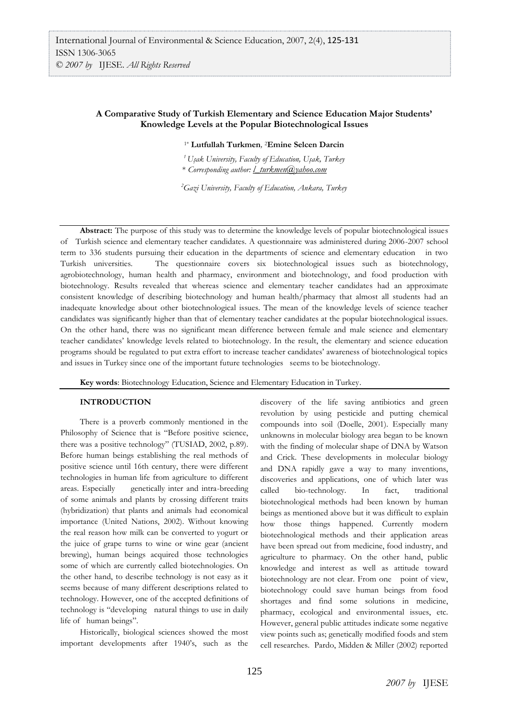# **A Comparative Study of Turkish Elementary and Science Education Major Students' Knowledge Levels at the Popular Biotechnological Issues**

1\* **Lutfullah Turkmen***,*  <sup>2</sup>**Emine Selcen Darcin**

*<sup>1</sup>Uşak University, Faculty of Education, Uşak, Turkey*

\* *Corresponding author: [l\\_turkmen@yahoo.com](mailto:l_turkmen@yahoo.com)*

*<sup>2</sup>Gazi University, Faculty of Education, Ankara, Turkey*

**Abstract:** The purpose of this study was to determine the knowledge levels of popular biotechnological issues of Turkish science and elementary teacher candidates. A questionnaire was administered during 2006-2007 school term to 336 students pursuing their education in the departments of science and elementary education in two Turkish universities. The questionnaire covers six biotechnological issues such as biotechnology, agrobiotechnology, human health and pharmacy, environment and biotechnology, and food production with biotechnology. Results revealed that whereas science and elementary teacher candidates had an approximate consistent knowledge of describing biotechnology and human health/pharmacy that almost all students had an inadequate knowledge about other biotechnological issues. The mean of the knowledge levels of science teacher candidates was significantly higher than that of elementary teacher candidates at the popular biotechnological issues. On the other hand, there was no significant mean difference between female and male science and elementary teacher candidates' knowledge levels related to biotechnology. In the result, the elementary and science education programs should be regulated to put extra effort to increase teacher candidates' awareness of biotechnological topics and issues in Turkey since one of the important future technologies seems to be biotechnology.

**Key words**: Biotechnology Education, Science and Elementary Education in Turkey.

#### **INTRODUCTION**

There is a proverb commonly mentioned in the Philosophy of Science that is "Before positive science, there was a positive technology" (TUSIAD, 2002, p.89). Before human beings establishing the real methods of positive science until 16th century, there were different technologies in human life from agriculture to different areas. Especially genetically inter and intra-breeding of some animals and plants by crossing different traits (hybridization) that plants and animals had economical importance (United Nations, 2002). Without knowing the real reason how milk can be converted to yogurt or the juice of grape turns to wine or wine gear (ancient brewing), human beings acquired those technologies some of which are currently called biotechnologies. On the other hand, to describe technology is not easy as it seems because of many different descriptions related to technology. However, one of the accepted definitions of technology is "developing natural things to use in daily life of human beings".

Historically, biological sciences showed the most important developments after 1940's, such as the discovery of the life saving antibiotics and green revolution by using pesticide and putting chemical compounds into soil (Doelle, 2001). Especially many unknowns in molecular biology area began to be known with the finding of molecular shape of DNA by Watson and Crick. These developments in molecular biology and DNA rapidly gave a way to many inventions, discoveries and applications, one of which later was called bio-technology. In fact, traditional biotechnological methods had been known by human beings as mentioned above but it was difficult to explain how those things happened. Currently modern biotechnological methods and their application areas have been spread out from medicine, food industry, and agriculture to pharmacy. On the other hand, public knowledge and interest as well as attitude toward biotechnology are not clear. From one point of view, biotechnology could save human beings from food shortages and find some solutions in medicine, pharmacy, ecological and environmental issues, etc. However, general public attitudes indicate some negative view points such as; genetically modified foods and stem cell researches. Pardo, Midden & Miller (2002) reported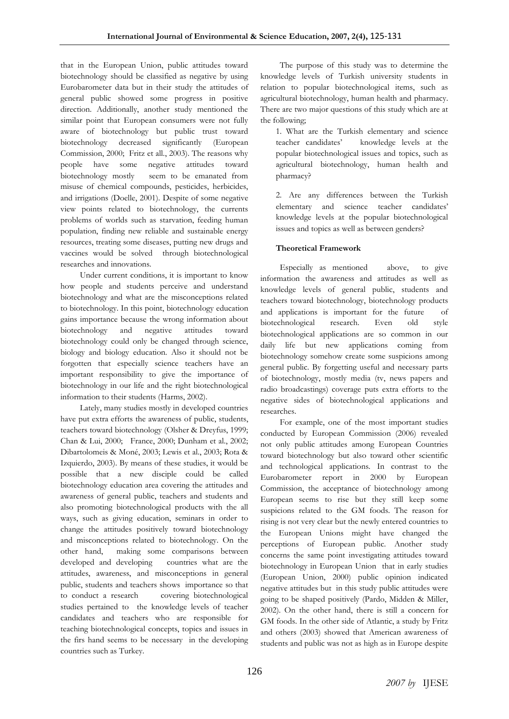that in the European Union, public attitudes toward biotechnology should be classified as negative by using Eurobarometer data but in their study the attitudes of general public showed some progress in positive direction. Additionally, another study mentioned the similar point that European consumers were not fully aware of biotechnology but public trust toward biotechnology decreased significantly (European Commission, 2000; Fritz et all., 2003). The reasons why people have some negative attitudes toward biotechnology mostly seem to be emanated from misuse of chemical compounds, pesticides, herbicides, and irrigations (Doelle, 2001). Despite of some negative view points related to biotechnology, the currents problems of worlds such as starvation, feeding human population, finding new reliable and sustainable energy resources, treating some diseases, putting new drugs and vaccines would be solved through biotechnological researches and innovations.

Under current conditions, it is important to know how people and students perceive and understand biotechnology and what are the misconceptions related to biotechnology. In this point, biotechnology education gains importance because the wrong information about biotechnology and negative attitudes toward biotechnology could only be changed through science, biology and biology education. Also it should not be forgotten that especially science teachers have an important responsibility to give the importance of biotechnology in our life and the right biotechnological information to their students (Harms, 2002).

Lately, many studies mostly in developed countries have put extra efforts the awareness of public, students, teachers toward biotechnology (Olsher & Dreyfus, 1999; Chan & Lui, 2000; France, 2000; Dunham et al., 2002; Dibartolomeis & Moné, 2003; Lewis et al., 2003; Rota & Izquierdo, 2003). By means of these studies, it would be possible that a new disciple could be called biotechnology education area covering the attitudes and awareness of general public, teachers and students and also promoting biotechnological products with the all ways, such as giving education, seminars in order to change the attitudes positively toward biotechnology and misconceptions related to biotechnology. On the other hand, making some comparisons between developed and developing countries what are the attitudes, awareness, and misconceptions in general public, students and teachers shows importance so that to conduct a research covering biotechnological studies pertained to the knowledge levels of teacher candidates and teachers who are responsible for teaching biotechnological concepts, topics and issues in the firs hand seems to be necessary in the developing countries such as Turkey.

The purpose of this study was to determine the knowledge levels of Turkish university students in relation to popular biotechnological items, such as agricultural biotechnology, human health and pharmacy. There are two major questions of this study which are at the following;

1. What are the Turkish elementary and science teacher candidates' knowledge levels at the popular biotechnological issues and topics, such as agricultural biotechnology, human health and pharmacy?

2. Are any differences between the Turkish elementary and science teacher candidates' knowledge levels at the popular biotechnological issues and topics as well as between genders?

# **Theoretical Framework**

Especially as mentioned above, to give information the awareness and attitudes as well as knowledge levels of general public, students and teachers toward biotechnology, biotechnology products and applications is important for the future of biotechnological research. Even old style biotechnological applications are so common in our daily life but new applications coming from biotechnology somehow create some suspicions among general public. By forgetting useful and necessary parts of biotechnology, mostly media (tv, news papers and radio broadcastings) coverage puts extra efforts to the negative sides of biotechnological applications and researches.

For example, one of the most important studies conducted by European Commission (2006) revealed not only public attitudes among European Countries toward biotechnology but also toward other scientific and technological applications. In contrast to the Eurobarometer report in 2000 by European Commission, the acceptance of biotechnology among European seems to rise but they still keep some suspicions related to the GM foods. The reason for rising is not very clear but the newly entered countries to the European Unions might have changed the perceptions of European public. Another study concerns the same point investigating attitudes toward biotechnology in European Union that in early studies (European Union, 2000) public opinion indicated negative attitudes but in this study public attitudes were going to be shaped positively (Pardo, Midden & Miller, 2002). On the other hand, there is still a concern for GM foods. In the other side of Atlantic, a study by Fritz and others (2003) showed that American awareness of students and public was not as high as in Europe despite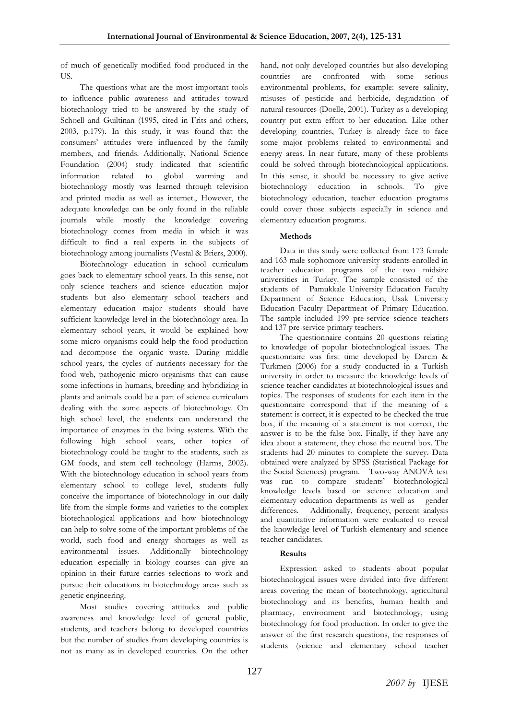of much of genetically modified food produced in the US.

The questions what are the most important tools to influence public awareness and attitudes toward biotechnology tried to be answered by the study of Schoell and Guiltinan (1995, cited in Frits and others, 2003, p.179). In this study, it was found that the consumers' attitudes were influenced by the family members, and friends. Additionally, National Science Foundation (2004) study indicated that scientific information related to global warming and biotechnology mostly was learned through television and printed media as well as internet., However, the adequate knowledge can be only found in the reliable journals while mostly the knowledge covering biotechnology comes from media in which it was difficult to find a real experts in the subjects of biotechnology among journalists (Vestal & Briers, 2000).

Biotechnology education in school curriculum goes back to elementary school years. In this sense, not only science teachers and science education major students but also elementary school teachers and elementary education major students should have sufficient knowledge level in the biotechnology area. In elementary school years, it would be explained how some micro organisms could help the food production and decompose the organic waste. During middle school years, the cycles of nutrients necessary for the food web, pathogenic micro-organisms that can cause some infections in humans, breeding and hybridizing in plants and animals could be a part of science curriculum dealing with the some aspects of biotechnology. On high school level, the students can understand the importance of enzymes in the living systems. With the following high school years, other topics of biotechnology could be taught to the students, such as GM foods, and stem cell technology (Harms, 2002). With the biotechnology education in school years from elementary school to college level, students fully conceive the importance of biotechnology in our daily life from the simple forms and varieties to the complex biotechnological applications and how biotechnology can help to solve some of the important problems of the world, such food and energy shortages as well as environmental issues. Additionally biotechnology education especially in biology courses can give an opinion in their future carries selections to work and pursue their educations in biotechnology areas such as genetic engineering.

Most studies covering attitudes and public awareness and knowledge level of general public, students, and teachers belong to developed countries but the number of studies from developing countries is not as many as in developed countries. On the other

hand, not only developed countries but also developing countries are confronted with some serious environmental problems, for example: severe salinity, misuses of pesticide and herbicide, degradation of natural resources (Doelle, 2001). Turkey as a developing country put extra effort to her education. Like other developing countries, Turkey is already face to face some major problems related to environmental and energy areas. In near future, many of these problems could be solved through biotechnological applications. In this sense, it should be necessary to give active biotechnology education in schools. To give biotechnology education, teacher education programs could cover those subjects especially in science and elementary education programs.

## **Methods**

Data in this study were collected from 173 female and 163 male sophomore university students enrolled in teacher education programs of the two midsize universities in Turkey. The sample consisted of the students of Pamukkale University Education Faculty Department of Science Education, Usak University Education Faculty Department of Primary Education. The sample included 199 pre-service science teachers and 137 pre-service primary teachers.

The questionnaire contains 20 questions relating to knowledge of popular biotechnological issues. The questionnaire was first time developed by Darcin & Turkmen (2006) for a study conducted in a Turkish university in order to measure the knowledge levels of science teacher candidates at biotechnological issues and topics. The responses of students for each item in the questionnaire correspond that if the meaning of a statement is correct, it is expected to be checked the true box, if the meaning of a statement is not correct, the answer is to be the false box. Finally, if they have any idea about a statement, they chose the neutral box. The students had 20 minutes to complete the survey. Data obtained were analyzed by SPSS (Statistical Package for the Social Sciences) program. Two-way ANOVA test was run to compare students' biotechnological knowledge levels based on science education and elementary education departments as well as gender differences. Additionally, frequency, percent analysis and quantitative information were evaluated to reveal the knowledge level of Turkish elementary and science teacher candidates.

# **Results**

Expression asked to students about popular biotechnological issues were divided into five different areas covering the mean of biotechnology, agricultural biotechnology and its benefits, human health and pharmacy, environment and biotechnology, using biotechnology for food production. In order to give the answer of the first research questions, the responses of students (science and elementary school teacher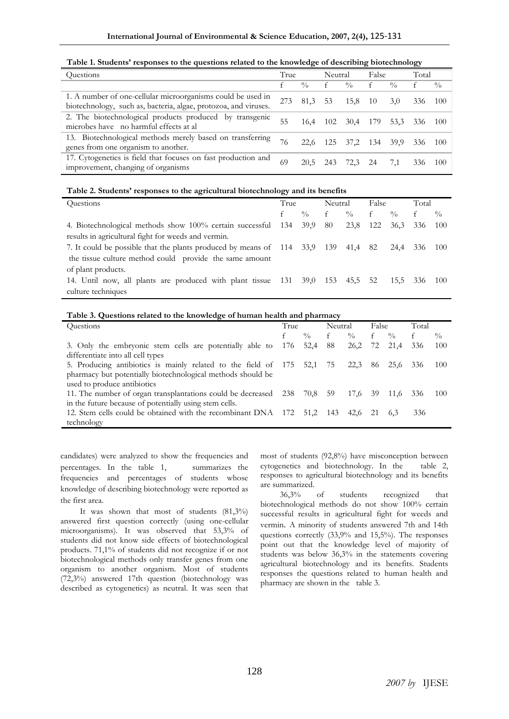|                                                                                                                                |      |             |         |               |       |               | $\sim$ |             |
|--------------------------------------------------------------------------------------------------------------------------------|------|-------------|---------|---------------|-------|---------------|--------|-------------|
| Questions                                                                                                                      | True |             | Neutral |               | False |               | Total  |             |
|                                                                                                                                |      | $^{0}/_{0}$ |         | $\frac{0}{0}$ | f     | $\frac{0}{0}$ |        | $^{0}/_{0}$ |
| 1. A number of one-cellular microorganisms could be used in<br>biotechnology, such as, bacteria, algae, protozoa, and viruses. | 273  | 81.3        | 53      | 15,8          | -10   | 3,0           | 336    | 100         |
| 2. The biotechnological products produced by transgenic<br>microbes have no harmful effects at al                              | 55   | 16.4        | 102     | 30.4          | 179   | 53.3          | 336    | - 100       |
| 13. Biotechnological methods merely based on transferring<br>genes from one organism to another.                               | 76   | 22.6        | 125     | 37,2          | - 134 | 39.9          | 336    | - 100       |
| 17. Cytogenetics is field that focuses on fast production and<br>improvement, changing of organisms                            | 69   | 20.5        | 243     |               | 24    | 7,1           | 336    | 100         |

## **Table 1. Students' responses to the questions related to the knowledge of describing biotechnology**

## **Table 2. Students' responses to the agricultural biotechnology and its benefits**

| <b>Ouestions</b>                                                          | True         |               | Neutral |             | False |             | Total |               |
|---------------------------------------------------------------------------|--------------|---------------|---------|-------------|-------|-------------|-------|---------------|
|                                                                           | $\mathbf{f}$ | $\frac{0}{0}$ | $-f$    | $^{0}/_{0}$ | f     | $^{0}/_{0}$ | f     | $\frac{0}{0}$ |
| 4. Biotechnological methods show 100% certain successful 134              |              | 39,9          | 80      | 23,8        | 122   | 36.3        | 336   | - 100         |
| results in agricultural fight for weeds and vermin.                       |              |               |         |             |       |             |       |               |
| 7. It could be possible that the plants produced by means of 114 33,9 139 |              |               |         | 41,4 82     |       | 24,4        | -336  | $-100$        |
| the tissue culture method could provide the same amount                   |              |               |         |             |       |             |       |               |
| of plant products.                                                        |              |               |         |             |       |             |       |               |
| 14. Until now, all plants are produced with plant tissue 131 39,0         |              |               | 153     | 45,5 52     |       | 15,5 336    |       | $-100$        |
| culture techniques                                                        |              |               |         |             |       |             |       |               |
|                                                                           |              |               |         |             |       |             |       |               |

| <b>Ouestions</b>                                               | True |               | Neutral |               | False |               | Total |               |
|----------------------------------------------------------------|------|---------------|---------|---------------|-------|---------------|-------|---------------|
|                                                                |      | $\frac{0}{0}$ | f       | $\frac{0}{0}$ | f     | $\frac{0}{0}$ | f     | $\frac{0}{0}$ |
| 3. Only the embryonic stem cells are potentially able to 176   |      | 52,4          | -88     | 26,2          | 72    | 21.4          | 336   | 100           |
| differentiate into all cell types                              |      |               |         |               |       |               |       |               |
| 5. Producing antibiotics is mainly related to the field of 175 |      | 52,1          | 75      | 22,3          | 86    | 25.6          | 336   | 100           |
| pharmacy but potentially biotechnological methods should be    |      |               |         |               |       |               |       |               |
| used to produce antibiotics                                    |      |               |         |               |       |               |       |               |
| 11. The number of organ transplantations could be decreased    | 238  | 70,8          | 59      | 17,6          | -39   | 11,6          | -336  | 100           |
| in the future because of potentially using stem cells.         |      |               |         |               |       |               |       |               |
| 12. Stem cells could be obtained with the recombinant DNA 172  |      | 51,2          | 143     | 42,6          | - 21  | 6.3           | 336   |               |
| technology                                                     |      |               |         |               |       |               |       |               |

candidates) were analyzed to show the frequencies and percentages. In the table 1, summarizes the frequencies and percentages of students whose knowledge of describing biotechnology were reported as the first area.

It was shown that most of students (81,3%) answered first question correctly (using one-cellular microorganisms). It was observed that 53,3% of students did not know side effects of biotechnological products. 71,1% of students did not recognize if or not biotechnological methods only transfer genes from one organism to another organism. Most of students (72,3%) answered 17th question (biotechnology was described as cytogenetics) as neutral. It was seen that most of students (92,8%) have misconception between cytogenetics and biotechnology. In the table 2, responses to agricultural biotechnology and its benefits are summarized.

36,3% of students recognized that biotechnological methods do not show 100% certain successful results in agricultural fight for weeds and vermin. A minority of students answered 7th and 14th questions correctly (33,9% and 15,5%). The responses point out that the knowledge level of majority of students was below 36,3% in the statements covering agricultural biotechnology and its benefits. Students responses the questions related to human health and pharmacy are shown in the table 3.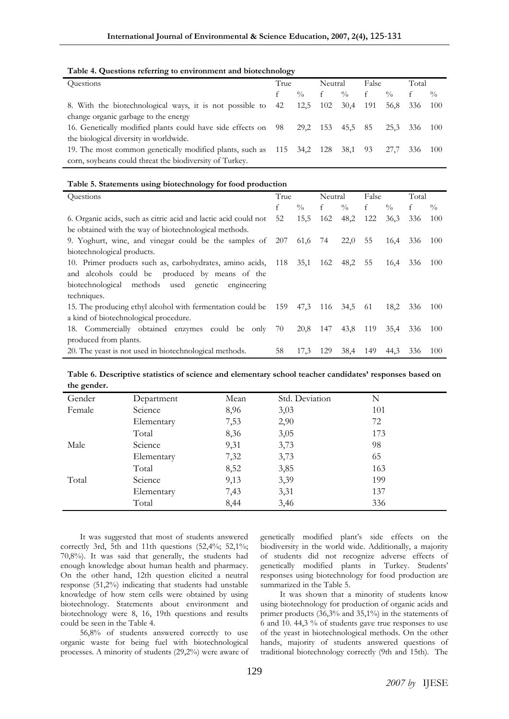| Table 4. Questions referring to environment and biotechnology |  |  |
|---------------------------------------------------------------|--|--|
|                                                               |  |  |

| <b>Ouestions</b>                                                              |  | True          |              | Neutral       |     | False         |              | Total         |
|-------------------------------------------------------------------------------|--|---------------|--------------|---------------|-----|---------------|--------------|---------------|
|                                                                               |  | $\frac{0}{0}$ | $\mathsf{f}$ | $\frac{0}{0}$ | f   | $\frac{0}{0}$ | $\mathbf{f}$ | $\frac{0}{0}$ |
| 8. With the biotechnological ways, it is not possible to 42 12,5              |  |               | 102          | 30.4          | 191 | 56,8          | -336         | 100           |
| change organic garbage to the energy                                          |  |               |              |               |     |               |              |               |
| 16. Genetically modified plants could have side effects on 98 29,2 153        |  |               |              | 45,5 85       |     | 25.3          | 336          | - 100         |
| the biological diversity in worldwide.                                        |  |               |              |               |     |               |              |               |
| 19. The most common genetically modified plants, such as 115 34,2 128 38,1 93 |  |               |              |               |     | 27,7          | -336         | -100          |
| corn, soybeans could threat the biodiversity of Turkey.                       |  |               |              |               |     |               |              |               |

| Table 5. Statements using biotechnology for food production |  |  |
|-------------------------------------------------------------|--|--|
|                                                             |  |  |

| Questions                                                         | True |               | Neutral |               | False        |               | Total |               |
|-------------------------------------------------------------------|------|---------------|---------|---------------|--------------|---------------|-------|---------------|
|                                                                   | f    | $\frac{0}{0}$ | f       | $\frac{0}{0}$ | $\mathsf{f}$ | $\frac{0}{0}$ | f     | $\frac{0}{0}$ |
| 6. Organic acids, such as citric acid and lactic acid could not   | 52   | 15,5          | 162     | 48,2          | 122          | 36.3          | 336   | 100           |
| be obtained with the way of biotechnological methods.             |      |               |         |               |              |               |       |               |
| 9. Yoghurt, wine, and vinegar could be the samples of 207         |      | 61,6          | -74     | 22,0          | 55           | 16,4          | 336   | 100           |
| biotechnological products.                                        |      |               |         |               |              |               |       |               |
| 10. Primer products such as, carbohydrates, amino acids, 118 35,1 |      |               | 162     | 48,2          | 55           | 16,4          | 336   | 100           |
| and alcohols could be produced by means of the                    |      |               |         |               |              |               |       |               |
| biotechnological methods used genetic<br>engineering              |      |               |         |               |              |               |       |               |
| techniques.                                                       |      |               |         |               |              |               |       |               |
| 15. The producing ethyl alcohol with fermentation could be 159    |      | 47,3 116      |         | 34,5          | -61          | 18,2          | 336   | 100           |
| a kind of biotechnological procedure.                             |      |               |         |               |              |               |       |               |
| 18. Commercially obtained enzymes could be only                   | - 70 | 20,8          | 147     | 43,8          | 119          | 35,4          | 336   | 100           |
| produced from plants.                                             |      |               |         |               |              |               |       |               |
| 20. The yeast is not used in biotechnological methods.            | 58   | 17.3          | 129     | 38.4          | 149          | 44.3          | 336   | 100           |

**Table 6. Descriptive statistics of science and elementary school teacher candidates' responses based on the gender.** 

| $\circ$ |            |      |                |     |  |
|---------|------------|------|----------------|-----|--|
| Gender  | Department | Mean | Std. Deviation | N   |  |
| Female  | Science    | 8,96 | 3,03           | 101 |  |
|         | Elementary | 7,53 | 2,90           | 72  |  |
|         | Total      | 8,36 | 3,05           | 173 |  |
| Male    | Science    | 9,31 | 3,73           | 98  |  |
|         | Elementary | 7,32 | 3,73           | 65  |  |
|         | Total      | 8,52 | 3,85           | 163 |  |
| Total   | Science    | 9,13 | 3,39           | 199 |  |
|         | Elementary | 7,43 | 3,31           | 137 |  |
|         | Total      | 8,44 | 3,46           | 336 |  |
|         |            |      |                |     |  |

It was suggested that most of students answered correctly 3rd, 5th and 11th questions (52,4%; 52,1%; 70,8%). It was said that generally, the students had enough knowledge about human health and pharmacy. On the other hand, 12th question elicited a neutral response (51,2%) indicating that students had unstable knowledge of how stem cells were obtained by using biotechnology. Statements about environment and biotechnology were 8, 16, 19th questions and results could be seen in the Table 4.

56,8% of students answered correctly to use organic waste for being fuel with biotechnological processes. A minority of students (29,2%) were aware of genetically modified plant's side effects on the biodiversity in the world wide. Additionally, a majority of students did not recognize adverse effects of genetically modified plants in Turkey. Students' responses using biotechnology for food production are summarized in the Table 5.

It was shown that a minority of students know using biotechnology for production of organic acids and primer products (36,3% and 35,1%) in the statements of 6 and 10. 44,3 % of students gave true responses to use of the yeast in biotechnological methods. On the other hands, majority of students answered questions of traditional biotechnology correctly (9th and 15th). The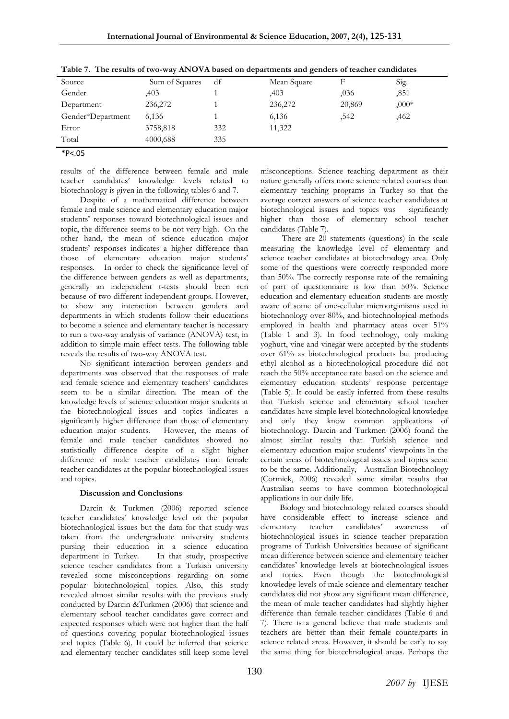| Source            | Sum of Squares | df  | Mean Square |        | Sig.    |
|-------------------|----------------|-----|-------------|--------|---------|
| Gender            | .403           |     | .403        | ,036   | ,851    |
| Department        | 236,272        |     | 236,272     | 20,869 | $,000*$ |
| Gender*Department | 6,136          |     | 6,136       | ,542   | ,462    |
| Error             | 3758,818       | 332 | 11,322      |        |         |
| Total             | 4000,688       | 335 |             |        |         |

**Table 7. The results of two-way ANOVA based on departments and genders of teacher candidates** 

# $*P < .05$

results of the difference between female and male teacher candidates' knowledge levels related to biotechnology is given in the following tables 6 and 7.

Despite of a mathematical difference between female and male science and elementary education major students' responses toward biotechnological issues and topic, the difference seems to be not very high. On the other hand, the mean of science education major students' responses indicates a higher difference than those of elementary education major students' responses. In order to check the significance level of the difference between genders as well as departments, generally an independent t-tests should been run because of two different independent groups. However, to show any interaction between genders and departments in which students follow their educations to become a science and elementary teacher is necessary to run a two-way analysis of variance (ANOVA) test, in addition to simple main effect tests. The following table reveals the results of two-way ANOVA test.

No significant interaction between genders and departments was observed that the responses of male and female science and elementary teachers' candidates seem to be a similar direction. The mean of the knowledge levels of science education major students at the biotechnological issues and topics indicates a significantly higher difference than those of elementary education major students. However, the means of female and male teacher candidates showed no statistically difference despite of a slight higher difference of male teacher candidates than female teacher candidates at the popular biotechnological issues and topics.

## **Discussion and Conclusions**

Darcin & Turkmen (2006) reported science teacher candidates' knowledge level on the popular biotechnological issues but the data for that study was taken from the undergraduate university students pursing their education in a science education department in Turkey. In that study, prospective science teacher candidates from a Turkish university revealed some misconceptions regarding on some popular biotechnological topics. Also, this study revealed almost similar results with the previous study conducted by Darcin &Turkmen (2006) that science and elementary school teacher candidates gave correct and expected responses which were not higher than the half of questions covering popular biotechnological issues and topics (Table 6). It could be inferred that science and elementary teacher candidates still keep some level

misconceptions. Science teaching department as their nature generally offers more science related courses than elementary teaching programs in Turkey so that the average correct answers of science teacher candidates at biotechnological issues and topics was significantly higher than those of elementary school teacher candidates (Table 7).

There are 20 statements (questions) in the scale measuring the knowledge level of elementary and science teacher candidates at biotechnology area. Only some of the questions were correctly responded more than 50%. The correctly response rate of the remaining of part of questionnaire is low than 50%. Science education and elementary education students are mostly aware of some of one-cellular microorganisms used in biotechnology over 80%, and biotechnological methods employed in health and pharmacy areas over 51% (Table 1 and 3). In food technology, only making yoghurt, vine and vinegar were accepted by the students over 61% as biotechnological products but producing ethyl alcohol as a biotechnological procedure did not reach the 50% acceptance rate based on the science and elementary education students' response percentage (Table 5). It could be easily inferred from these results that Turkish science and elementary school teacher candidates have simple level biotechnological knowledge and only they know common applications of biotechnology. Darcin and Turkmen (2006) found the almost similar results that Turkish science and elementary education major students' viewpoints in the certain areas of biotechnological issues and topics seem to be the same. Additionally, Australian Biotechnology (Cormick, 2006) revealed some similar results that Australian seems to have common biotechnological applications in our daily life.

Biology and biotechnology related courses should have considerable effect to increase science and elementary teacher candidates' awareness of biotechnological issues in science teacher preparation programs of Turkish Universities because of significant mean difference between science and elementary teacher candidates' knowledge levels at biotechnological issues and topics. Even though the biotechnological knowledge levels of male science and elementary teacher candidates did not show any significant mean difference, the mean of male teacher candidates had slightly higher difference than female teacher candidates (Table 6 and 7). There is a general believe that male students and teachers are better than their female counterparts in science related areas. However, it should be early to say the same thing for biotechnological areas. Perhaps the